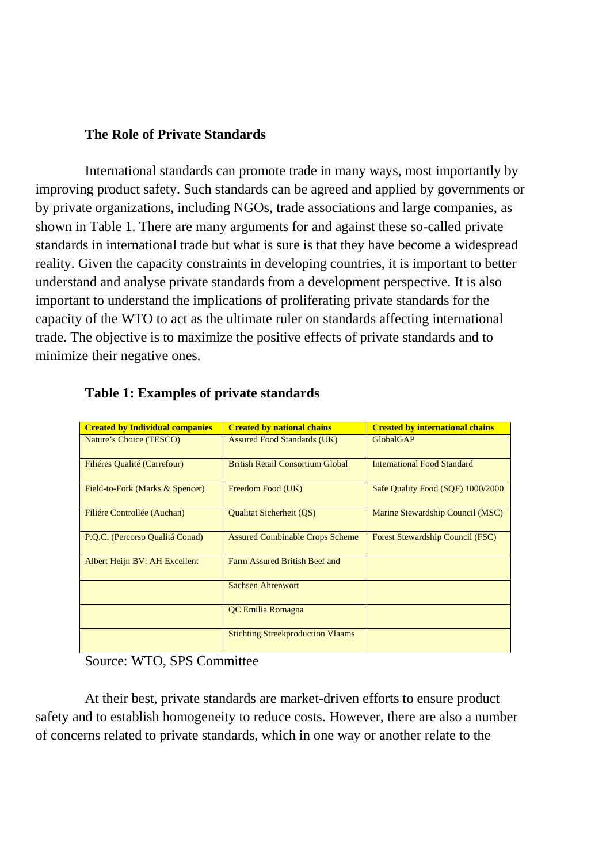## **The Role of Private Standards**

International standards can promote trade in many ways, most importantly by improving product safety. Such standards can be agreed and applied by governments or by private organizations, including NGOs, trade associations and large companies, as shown in Table 1. There are many arguments for and against these so-called private standards in international trade but what is sure is that they have become a widespread reality. Given the capacity constraints in developing countries, it is important to better understand and analyse private standards from a development perspective. It is also important to understand the implications of proliferating private standards for the capacity of the WTO to act as the ultimate ruler on standards affecting international trade. The objective is to maximize the positive effects of private standards and to minimize their negative ones.

| <b>Created by Individual companies</b> | <b>Created by national chains</b>        | <b>Created by international chains</b>  |
|----------------------------------------|------------------------------------------|-----------------------------------------|
| Nature's Choice (TESCO)                | <b>Assured Food Standards (UK)</b>       | <b>GlobalGAP</b>                        |
| Filiéres Qualité (Carrefour)           | <b>British Retail Consortium Global</b>  | <b>International Food Standard</b>      |
| Field-to-Fork (Marks & Spencer)        | Freedom Food (UK)                        | Safe Quality Food (SQF) 1000/2000       |
| Filiére Controllée (Auchan)            | <b>Qualitat Sicherheit (QS)</b>          | Marine Stewardship Council (MSC)        |
| P.Q.C. (Percorso Qualitá Conad)        | <b>Assured Combinable Crops Scheme</b>   | <b>Forest Stewardship Council (FSC)</b> |
| Albert Heijn BV: AH Excellent          | Farm Assured British Beef and            |                                         |
|                                        | Sachsen Ahrenwort                        |                                         |
|                                        | <b>OC Emilia Romagna</b>                 |                                         |
|                                        | <b>Stichting Streekproduction Vlaams</b> |                                         |

## **Table 1: Examples of private standards**

Source: WTO, SPS Committee

At their best, private standards are market-driven efforts to ensure product safety and to establish homogeneity to reduce costs. However, there are also a number of concerns related to private standards, which in one way or another relate to the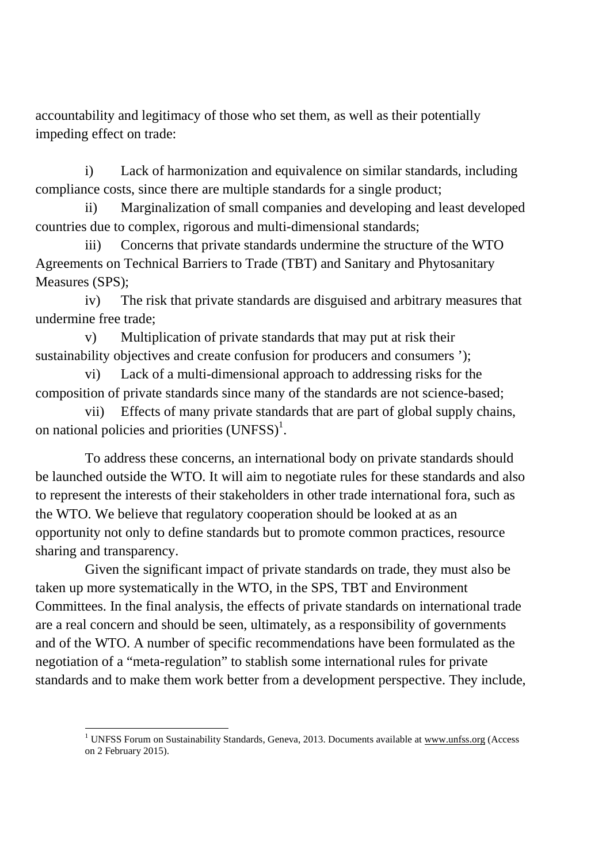accountability and legitimacy of those who set them, as well as their potentially impeding effect on trade:

i) Lack of harmonization and equivalence on similar standards, including compliance costs, since there are multiple standards for a single product;

ii) Marginalization of small companies and developing and least developed countries due to complex, rigorous and multi-dimensional standards;

iii) Concerns that private standards undermine the structure of the WTO Agreements on Technical Barriers to Trade (TBT) and Sanitary and Phytosanitary Measures (SPS);

iv) The risk that private standards are disguised and arbitrary measures that undermine free trade;

v) Multiplication of private standards that may put at risk their sustainability objectives and create confusion for producers and consumers ');

vi) Lack of a multi-dimensional approach to addressing risks for the composition of private standards since many of the standards are not science-based;

vii) Effects of many private standards that are part of global supply chains, on national policies and priorities  $(UNFSS)^1$ .

To address these concerns, an international body on private standards should be launched outside the WTO. It will aim to negotiate rules for these standards and also to represent the interests of their stakeholders in other trade international fora, such as the WTO. We believe that regulatory cooperation should be looked at as an opportunity not only to define standards but to promote common practices, resource sharing and transparency.

Given the significant impact of private standards on trade, they must also be taken up more systematically in the WTO, in the SPS, TBT and Environment Committees. In the final analysis, the effects of private standards on international trade are a real concern and should be seen, ultimately, as a responsibility of governments and of the WTO. A number of specific recommendations have been formulated as the negotiation of a "meta-regulation" to stablish some international rules for private standards and to make them work better from a development perspective. They include,

<sup>-</sup><sup>1</sup> UNFSS Forum on Sustainability Standards, Geneva, 2013. Documents available at www.unfss.org (Access on 2 February 2015).